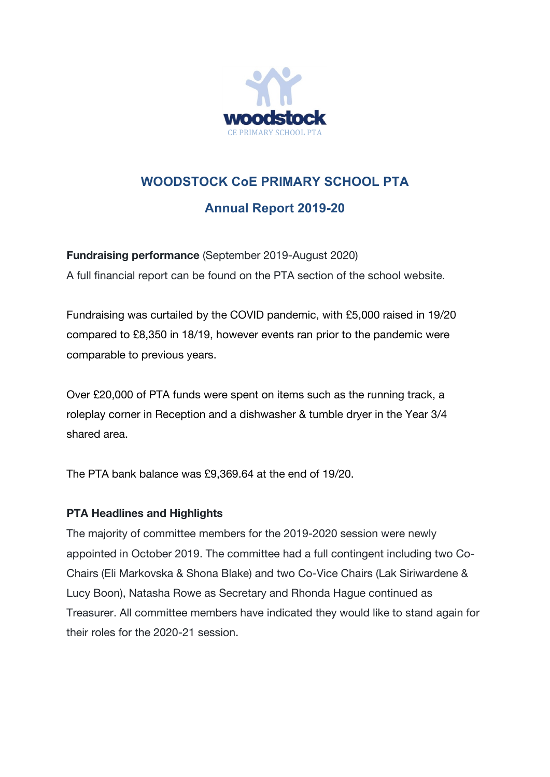

## **WOODSTOCK CoE PRIMARY SCHOOL PTA Annual Report 2019-20**

**Fundraising performance** (September 2019-August 2020) A full financial report can be found on the PTA section of the school website.

Fundraising was curtailed by the COVID pandemic, with £5,000 raised in 19/20 compared to £8,350 in 18/19, however events ran prior to the pandemic were comparable to previous years.

Over £20,000 of PTA funds were spent on items such as the running track, a roleplay corner in Reception and a dishwasher & tumble dryer in the Year 3/4 shared area.

The PTA bank balance was £9,369.64 at the end of 19/20.

## **PTA Headlines and Highlights**

The majority of committee members for the 2019-2020 session were newly appointed in October 2019. The committee had a full contingent including two Co-Chairs (Eli Markovska & Shona Blake) and two Co-Vice Chairs (Lak Siriwardene & Lucy Boon), Natasha Rowe as Secretary and Rhonda Hague continued as Treasurer. All committee members have indicated they would like to stand again for their roles for the 2020-21 session.